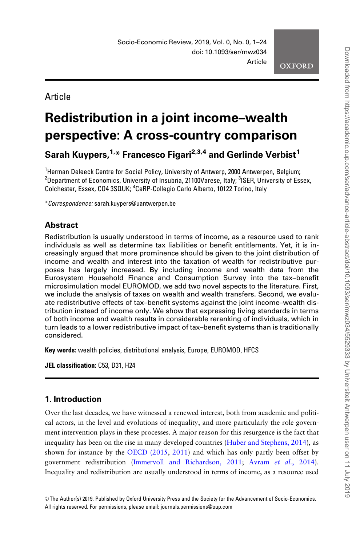Article

# Redistribution in a joint income–wealth perspective: A cross-country comparison

Sarah Kuypers, $1,4$ \* Francesco Figari<sup>2,3,4</sup> and Gerlinde Verbist<sup>1</sup>

<sup>1</sup>Herman Deleeck Centre for Social Policy, University of Antwerp, 2000 Antwerpen, Belgium;  $^2$ Department of Economics, University of Insubria, 21100Varese, Italy;  $^3$ ISER, University of Essex, Colchester, Essex, CO4 3SQUK; <sup>4</sup>CeRP-Collegio Carlo Alberto, 10122 Torino, Italy

\*Correspondence: sarah.kuypers@uantwerpen.be

# **Abstract**

Redistribution is usually understood in terms of income, as a resource used to rank individuals as well as determine tax liabilities or benefit entitlements. Yet, it is increasingly argued that more prominence should be given to the joint distribution of income and wealth and interest into the taxation of wealth for redistributive purposes has largely increased. By including income and wealth data from the Eurosystem Household Finance and Consumption Survey into the tax–benefit microsimulation model EUROMOD, we add two novel aspects to the literature. First, we include the analysis of taxes on wealth and wealth transfers. Second, we evaluate redistributive effects of tax–benefit systems against the joint income–wealth distribution instead of income only. We show that expressing living standards in terms of both income and wealth results in considerable reranking of individuals, which in turn leads to a lower redistributive impact of tax–benefit systems than is traditionally considered.

Key words: wealth policies, distributional analysis, Europe, EUROMOD, HFCS

JEL classification: C53, D31, H24

# 1. Introduction

Over the last decades, we have witnessed a renewed interest, both from academic and political actors, in the level and evolutions of inequality, and more particularly the role government intervention plays in these processes. A major reason for this resurgence is the fact that inequality has been on the rise in many developed countries ([Huber and Stephens, 2014\)](#page-22-0), as shown for instance by the [OECD \(2015](#page-23-0), [2011](#page-23-0)) and which has only partly been offset by government redistribution [\(Immervoll and Richardson, 2011](#page-22-0); Avram et al.[, 2014\)](#page-21-0). Inequality and redistribution are usually understood in terms of income, as a resource used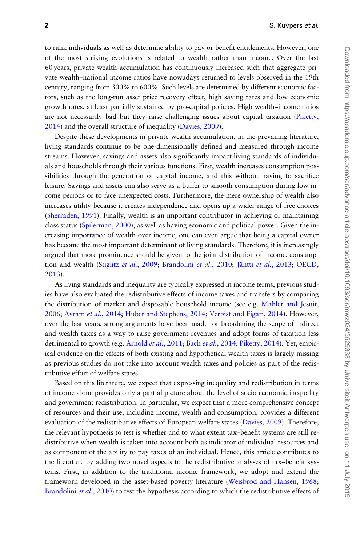to rank individuals as well as determine ability to pay or benefit entitlements. However, one of the most striking evolutions is related to wealth rather than income. Over the last 60 years, private wealth accumulation has continuously increased such that aggregate private wealth–national income ratios have nowadays returned to levels observed in the 19th century, ranging from 300% to 600%. Such levels are determined by different economic factors, such as the long-run asset price recovery effect, high saving rates and low economic growth rates, at least partially sustained by pro-capital policies. High wealth–income ratios are not necessarily bad but they raise challenging issues about capital taxation [\(Piketty,](#page-23-0) [2014](#page-23-0)) and the overall structure of inequality ([Davies, 2009](#page-22-0)).

Despite these developments in private wealth accumulation, in the prevailing literature, living standards continue to be one-dimensionally defined and measured through income streams. However, savings and assets also significantly impact living standards of individuals and households through their various functions. First, wealth increases consumption possibilities through the generation of capital income, and this without having to sacrifice leisure. Savings and assets can also serve as a buffer to smooth consumption during low-income periods or to face unexpected costs. Furthermore, the mere ownership of wealth also increases utility because it creates independence and opens up a wider range of free choices [\(Sherraden, 1991\)](#page-23-0). Finally, wealth is an important contributor in achieving or maintaining class status [\(Spilerman, 2000](#page-23-0)), as well as having economic and political power. Given the increasing importance of wealth over income, one can even argue that being a capital owner has become the most important determinant of living standards. Therefore, it is increasingly argued that more prominence should be given to the joint distribution of income, consump-tion and wealth [\(Stiglitz](#page-23-0) et al., 2009; [Brandolini](#page-22-0) et al., 2010; Jäntti et al.[, 2013;](#page-22-0) [OECD,](#page-23-0) [2013](#page-23-0)).

As living standards and inequality are typically expressed in income terms, previous studies have also evaluated the redistributive effects of income taxes and transfers by comparing the distribution of market and disposable household income (see e.g. [Mahler and Jesuit,](#page-23-0) [2006](#page-23-0); [Avram](#page-21-0) et al., 2014; [Huber and Stephens, 2014;](#page-22-0) [Verbist and Figari, 2014](#page-23-0)). However, over the last years, strong arguments have been made for broadening the scope of indirect and wealth taxes as a way to raise government revenues and adopt forms of taxation less detrimental to growth (e.g. [Arnold](#page-21-0) et al., 2011; Bach et al.[, 2014;](#page-21-0) [Piketty, 2014\)](#page-23-0). Yet, empirical evidence on the effects of both existing and hypothetical wealth taxes is largely missing as previous studies do not take into account wealth taxes and policies as part of the redistributive effort of welfare states.

Based on this literature, we expect that expressing inequality and redistribution in terms of income alone provides only a partial picture about the level of socio-economic inequality and government redistribution. In particular, we expect that a more comprehensive concept of resources and their use, including income, wealth and consumption, provides a different evaluation of the redistributive effects of European welfare states ([Davies, 2009](#page-22-0)). Therefore, the relevant hypothesis to test is whether and to what extent tax–benefit systems are still redistributive when wealth is taken into account both as indicator of individual resources and as component of the ability to pay taxes of an individual. Hence, this article contributes to the literature by adding two novel aspects to the redistributive analyses of tax–benefit systems. First, in addition to the traditional income framework, we adopt and extend the framework developed in the asset-based poverty literature [\(Weisbrod and Hansen, 1968](#page-23-0); [Brandolini](#page-22-0) et al., 2010) to test the hypothesis according to which the redistributive effects of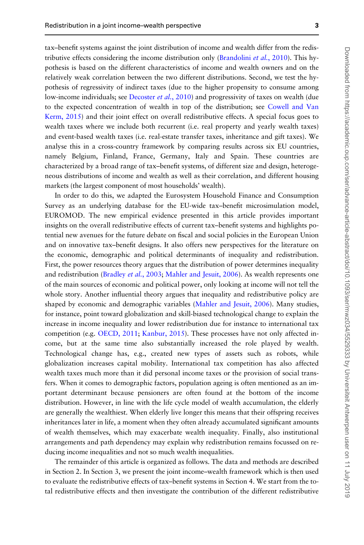tax–benefit systems against the joint distribution of income and wealth differ from the redis-tributive effects considering the income distribution only ([Brandolini](#page-22-0) *et al.*, 2010). This hypothesis is based on the different characteristics of income and wealth owners and on the relatively weak correlation between the two different distributions. Second, we test the hypothesis of regressivity of indirect taxes (due to the higher propensity to consume among low-income individuals; see [Decoster](#page-22-0) *et al.*, 2010) and progressivity of taxes on wealth (due to the expected concentration of wealth in top of the distribution; see [Cowell and Van](#page-22-0) [Kerm, 2015\)](#page-22-0) and their joint effect on overall redistributive effects. A special focus goes to wealth taxes where we include both recurrent (i.e. real property and yearly wealth taxes) and event-based wealth taxes (i.e. real-estate transfer taxes, inheritance and gift taxes). We analyse this in a cross-country framework by comparing results across six EU countries, namely Belgium, Finland, France, Germany, Italy and Spain. These countries are characterized by a broad range of tax–benefit systems, of different size and design, heterogeneous distributions of income and wealth as well as their correlation, and different housing markets (the largest component of most households' wealth).

In order to do this, we adapted the Eurosystem Household Finance and Consumption Survey as an underlying database for the EU-wide tax–benefit microsimulation model, EUROMOD. The new empirical evidence presented in this article provides important insights on the overall redistributive effects of current tax–benefit systems and highlights potential new avenues for the future debate on fiscal and social policies in the European Union and on innovative tax–benefit designs. It also offers new perspectives for the literature on the economic, demographic and political determinants of inequality and redistribution. First, the power resources theory argues that the distribution of power determines inequality and redistribution [\(Bradley](#page-22-0) et al., 2003; [Mahler and Jesuit, 2006\)](#page-23-0). As wealth represents one of the main sources of economic and political power, only looking at income will not tell the whole story. Another influential theory argues that inequality and redistributive policy are shaped by economic and demographic variables [\(Mahler and Jesuit, 2006\)](#page-23-0). Many studies, for instance, point toward globalization and skill-biased technological change to explain the increase in income inequality and lower redistribution due for instance to international tax competition (e.g. [OECD, 2011;](#page-23-0) [Kanbur, 2015\)](#page-22-0). These processes have not only affected income, but at the same time also substantially increased the role played by wealth. Technological change has, e.g., created new types of assets such as robots, while globalization increases capital mobility. International tax competition has also affected wealth taxes much more than it did personal income taxes or the provision of social transfers. When it comes to demographic factors, population ageing is often mentioned as an important determinant because pensioners are often found at the bottom of the income distribution. However, in line with the life cycle model of wealth accumulation, the elderly are generally the wealthiest. When elderly live longer this means that their offspring receives inheritances later in life, a moment when they often already accumulated significant amounts of wealth themselves, which may exacerbate wealth inequality. Finally, also institutional arrangements and path dependency may explain why redistribution remains focussed on reducing income inequalities and not so much wealth inequalities.

The remainder of this article is organized as follows. The data and methods are described in Section 2. In Section 3, we present the joint income–wealth framework which is then used to evaluate the redistributive effects of tax–benefit systems in Section 4. We start from the total redistributive effects and then investigate the contribution of the different redistributive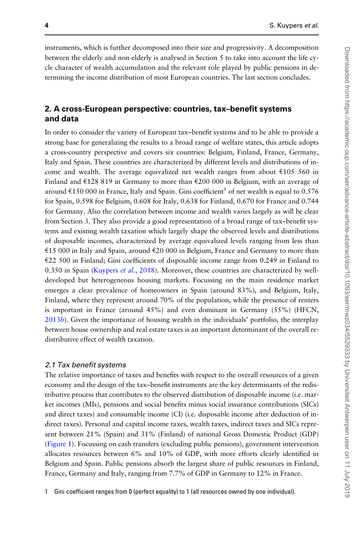instruments, which is further decomposed into their size and progressivity. A decomposition between the elderly and non-elderly is analysed in Section 5 to take into account the life cycle character of wealth accumulation and the relevant role played by public pensions in determining the income distribution of most European countries. The last section concludes.

## 2. A cross-European perspective: countries, tax–benefit systems and data

In order to consider the variety of European tax–benefit systems and to be able to provide a strong base for generalizing the results to a broad range of welfare states, this article adopts a cross-country perspective and covers six countries: Belgium, Finland, France, Germany, Italy and Spain. These countries are characterized by different levels and distributions of income and wealth. The average equivalized net wealth ranges from about  $\epsilon$ 105 560 in Finland and  $\epsilon$ 128 819 in Germany to more than  $\epsilon$ 200 000 in Belgium, with an average of around  $\epsilon$ 150 000 in France, Italy and Spain. Gini coefficient<sup>1</sup> of net wealth is equal to 0.576 for Spain, 0.598 for Belgium, 0.608 for Italy, 0.638 for Finland, 0.670 for France and 0.744 for Germany. Also the correlation between income and wealth varies largely as will be clear from Section 3. They also provide a good representation of a broad range of tax–benefit systems and existing wealth taxation which largely shape the observed levels and distributions of disposable incomes, characterized by average equivalized levels ranging from less than €15 000 in Italy and Spain, around €20 000 in Belgium, France and Germany to more than  $E$ 22 500 in Finland; Gini coefficients of disposable income range from 0.249 in Finland to 0.350 in Spain ([Kuypers](#page-23-0) et al., 2018). Moreover, these countries are characterized by welldeveloped but heterogeneous housing markets. Focussing on the main residence market emerges a clear prevalence of homeowners in Spain (around 83%), and Belgium, Italy, Finland, where they represent around 70% of the population, while the presence of renters is important in France (around 45%) and even dominant in Germany (55%) (HFCN, [2013](#page-22-0)b). Given the importance of housing wealth in the individuals' portfolio, the interplay between house ownership and real estate taxes is an important determinant of the overall redistributive effect of wealth taxation.

#### 2.1 Tax benefit systems

The relative importance of taxes and benefits with respect to the overall resources of a given economy and the design of the tax–benefit instruments are the key determinants of the redistributive process that contributes to the observed distribution of disposable income (i.e. market incomes (MIs), pensions and social benefits minus social insurance contributions (SICs) and direct taxes) and consumable income (CI) (i.e. disposable income after deduction of indirect taxes). Personal and capital income taxes, wealth taxes, indirect taxes and SICs represent between 21% (Spain) and 31% (Finland) of national Gross Domestic Product (GDP) [\(Figure 1](#page-4-0)). Focussing on cash transfers (excluding public pensions), government intervention allocates resources between 6% and 10% of GDP, with more efforts clearly identified in Belgium and Spain. Public pensions absorb the largest share of public resources in Finland, France, Germany and Italy, ranging from 7.7% of GDP in Germany to 12% in France.

1 Gini coefficient ranges from 0 (perfect equality) to 1 (all resources owned by one individual).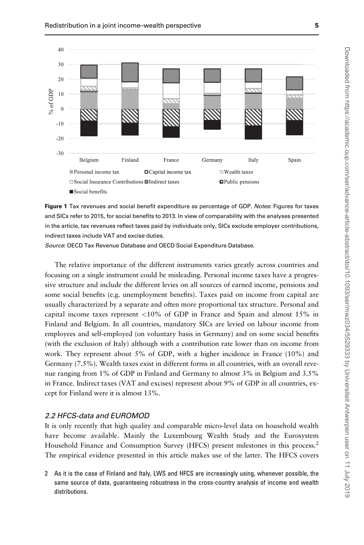<span id="page-4-0"></span>



Source: OECD Tax Revenue Database and OECD Social Expenditure Database.

The relative importance of the different instruments varies greatly across countries and focusing on a single instrument could be misleading. Personal income taxes have a progressive structure and include the different levies on all sources of earned income, pensions and some social benefits (e.g. unemployment benefits). Taxes paid on income from capital are usually characterized by a separate and often more proportional tax structure. Personal and capital income taxes represent  $\langle 10\%$  of GDP in France and Spain and almost 15% in Finland and Belgium. In all countries, mandatory SICs are levied on labour income from employees and self-employed (on voluntary basis in Germany) and on some social benefits (with the exclusion of Italy) although with a contribution rate lower than on income from work. They represent about 5% of GDP, with a higher incidence in France (10%) and Germany (7.5%). Wealth taxes exist in different forms in all countries, with an overall revenue ranging from 1% of GDP in Finland and Germany to almost 3% in Belgium and 3.5% in France. Indirect taxes (VAT and excises) represent about 9% of GDP in all countries, except for Finland were it is almost 13%.

#### 2.2 HFCS-data and EUROMOD

It is only recently that high quality and comparable micro-level data on household wealth have become available. Mainly the Luxembourg Wealth Study and the Eurosystem Household Finance and Consumption Survey (HFCS) present milestones in this process.2 The empirical evidence presented in this article makes use of the latter. The HFCS covers

2 As it is the case of Finland and Italy, LWS and HFCS are increasingly using, whenever possible, the same source of data, guaranteeing robustness in the cross-country analysis of income and wealth distributions.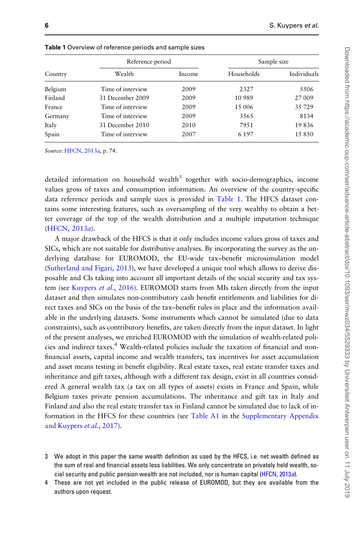|         | Reference period  |        | Sample size |             |
|---------|-------------------|--------|-------------|-------------|
| Country | Wealth            | Income | Households  | Individuals |
| Belgium | Time of interview | 2009   | 2327        | 5506        |
| Finland | 31 December 2009  | 2009   | 10 989      | 27 009      |
| France  | Time of interview | 2009   | 15 006      | 35729       |
| Germany | Time of interview | 2009   | 3565        | 8134        |
| Italy   | 31 December 2010  | 2010   | 7951        | 19836       |
| Spain   | Time of interview | 2007   | 6 1 9 7     | 15850       |

<span id="page-5-0"></span>Table 1 Overview of reference periods and sample sizes

Source: [HFCN, 2013](#page-22-0)a, p. 74.

detailed information on household wealth<sup>3</sup> together with socio-demographics, income values gross of taxes and consumption information. An overview of the country-specific data reference periods and sample sizes is provided in Table 1. The HFCS dataset contains some interesting features, such as oversampling of the very wealthy to obtain a better coverage of the top of the wealth distribution and a multiple imputation technique [\(HFCN, 2013](#page-22-0)a).

A major drawback of the HFCS is that it only includes income values gross of taxes and SICs, which are not suitable for distributive analyses. By incorporating the survey as the underlying database for EUROMOD, the EU-wide tax–benefit microsimulation model [\(Sutherland and Figari, 2013\)](#page-23-0), we have developed a unique tool which allows to derive disposable and CIs taking into account all important details of the social security and tax sys-tem (see [Kuypers](#page-22-0) et al., 2016). EUROMOD starts from MIs taken directly from the input dataset and then simulates non-contributory cash benefit entitlements and liabilities for direct taxes and SICs on the basis of the tax–benefit rules in place and the information available in the underlying datasets. Some instruments which cannot be simulated (due to data constraints), such as contributory benefits, are taken directly from the input dataset. In light of the present analyses, we enriched EUROMOD with the simulation of wealth-related policies and indirect taxes.<sup>4</sup> Wealth-related policies include the taxation of financial and nonfinancial assets, capital income and wealth transfers, tax incentives for asset accumulation and asset means testing in benefit eligibility. Real estate taxes, real estate transfer taxes and inheritance and gift taxes, although with a different tax design, exist in all countries considered A general wealth tax (a tax on all types of assets) exists in France and Spain, while Belgium taxes private pension accumulations. The inheritance and gift tax in Italy and Finland and also the real estate transfer tax in Finland cannot be simulated due to lack of information in the HFCS for these countries (see Table A1 in the [Supplementary Appendix](https://academic.oup.com/ser/article-lookup/doi/10.1093/ser/mwz034#supplementary-data) and [Kuypers](#page-23-0) et al., 2017).

- 3 We adopt in this paper the same wealth definition as used by the HFCS, i.e. net wealth defined as the sum of real and financial assets less liabilities. We only concentrate on privately held wealth, so-cial security and public pension wealth are not included, nor is human capital [\(HFCN, 2013](#page-22-0)a).
- 4 These are not yet included in the public release of EUROMOD, but they are available from the authors upon request.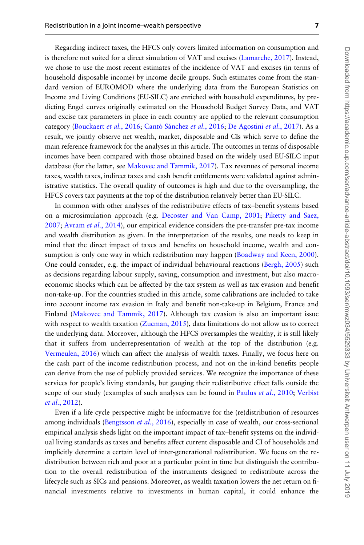Regarding indirect taxes, the HFCS only covers limited information on consumption and is therefore not suited for a direct simulation of VAT and excises [\(Lamarche, 2017](#page-23-0)). Instead, we chose to use the most recent estimates of the incidence of VAT and excises (in terms of household disposable income) by income decile groups. Such estimates come from the standard version of EUROMOD where the underlying data from the European Statistics on Income and Living Conditions (EU-SILC) are enriched with household expenditures, by predicting Engel curves originally estimated on the Household Budget Survey Data, and VAT and excise tax parameters in place in each country are applied to the relevant consumption category [\(Bouckaert](#page-22-0) et al., 2016; Cantó Sánchez et al., 2016; [De Agostini](#page-22-0) et al., 2017). As a result, we jointly observe net wealth, market, disposable and CIs which serve to define the main reference framework for the analyses in this article. The outcomes in terms of disposable incomes have been compared with those obtained based on the widely used EU-SILC input database (for the latter, see [Makovec and Tammik, 2017\)](#page-23-0). Tax revenues of personal income taxes, wealth taxes, indirect taxes and cash benefit entitlements were validated against administrative statistics. The overall quality of outcomes is high and due to the oversampling, the HFCS covers tax payments at the top of the distribution relatively better than EU-SILC.

In common with other analyses of the redistributive effects of tax–benefit systems based on a microsimulation approach (e.g. [Decoster and Van Camp, 2001](#page-22-0); [Piketty and Saez,](#page-23-0) [2007](#page-23-0); [Avram](#page-21-0) et al., 2014), our empirical evidence considers the pre-transfer pre-tax income and wealth distribution as given. In the interpretation of the results, one needs to keep in mind that the direct impact of taxes and benefits on household income, wealth and con-sumption is only one way in which redistribution may happen ([Boadway and Keen, 2000\)](#page-21-0). One could consider, e.g. the impact of individual behavioural reactions ([Bergh, 2005\)](#page-21-0) such as decisions regarding labour supply, saving, consumption and investment, but also macroeconomic shocks which can be affected by the tax system as well as tax evasion and benefit non-take-up. For the countries studied in this article, some calibrations are included to take into account income tax evasion in Italy and benefit non-take-up in Belgium, France and Finland [\(Makovec and Tammik, 2017](#page-23-0)). Although tax evasion is also an important issue with respect to wealth taxation ([Zucman, 2015\)](#page-23-0), data limitations do not allow us to correct the underlying data. Moreover, although the HFCS oversamples the wealthy, it is still likely that it suffers from underrepresentation of wealth at the top of the distribution (e.g. [Vermeulen, 2016\)](#page-23-0) which can affect the analysis of wealth taxes. Finally, we focus here on the cash part of the income redistribution process, and not on the in-kind benefits people can derive from the use of publicly provided services. We recognize the importance of these services for people's living standards, but gauging their redistributive effect falls outside the scope of our study (examples of such analyses can be found in [Paulus](#page-23-0) et al., 2010; [Verbist](#page-23-0) et al.[, 2012](#page-23-0)).

Even if a life cycle perspective might be informative for the (re)distribution of resources among individuals [\(Bengtsson](#page-21-0) *et al.*, 2016), especially in case of wealth, our cross-sectional empirical analysis sheds light on the important impact of tax–benefit systems on the individual living standards as taxes and benefits affect current disposable and CI of households and implicitly determine a certain level of inter-generational redistribution. We focus on the redistribution between rich and poor at a particular point in time but distinguish the contribution to the overall redistribution of the instruments designed to redistribute across the lifecycle such as SICs and pensions. Moreover, as wealth taxation lowers the net return on financial investments relative to investments in human capital, it could enhance the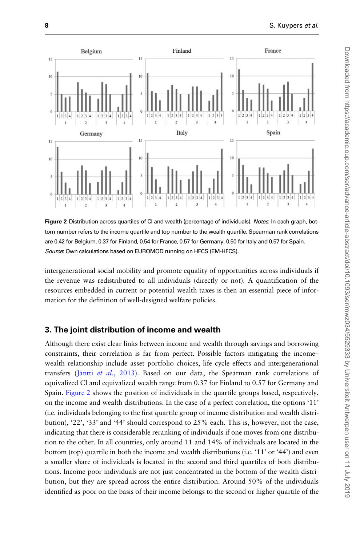

Figure 2 Distribution across quartiles of CI and wealth (percentage of individuals). Notes: In each graph, bottom number refers to the income quartile and top number to the wealth quartile. Spearman rank correlations are 0.42 for Belgium, 0.37 for Finland, 0.54 for France, 0.57 for Germany, 0.50 for Italy and 0.57 for Spain. Source: Own calculations based on EUROMOD running on HFCS (EM-HFCS).

intergenerational social mobility and promote equality of opportunities across individuals if the revenue was redistributed to all individuals (directly or not). A quantification of the resources embedded in current or potential wealth taxes is then an essential piece of information for the definition of well-designed welfare policies.

## 3. The joint distribution of income and wealth

Although there exist clear links between income and wealth through savings and borrowing constraints, their correlation is far from perfect. Possible factors mitigating the income– wealth relationship include asset portfolio choices, life cycle effects and intergenerational transfers (Jäntti et al.[, 2013\)](#page-22-0). Based on our data, the Spearman rank correlations of equivalized CI and equivalized wealth range from 0.37 for Finland to 0.57 for Germany and Spain. Figure 2 shows the position of individuals in the quartile groups based, respectively, on the income and wealth distributions. In the case of a perfect correlation, the options '11' (i.e. individuals belonging to the first quartile group of income distribution and wealth distribution), '22', '33' and '44' should correspond to 25% each. This is, however, not the case, indicating that there is considerable reranking of individuals if one moves from one distribution to the other. In all countries, only around 11 and 14% of individuals are located in the bottom (top) quartile in both the income and wealth distributions (i.e. '11' or '44') and even a smaller share of individuals is located in the second and third quartiles of both distributions. Income poor individuals are not just concentrated in the bottom of the wealth distribution, but they are spread across the entire distribution. Around 50% of the individuals identified as poor on the basis of their income belongs to the second or higher quartile of the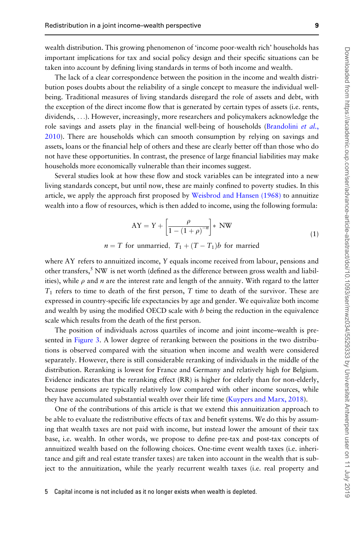wealth distribution. This growing phenomenon of 'income poor-wealth rich' households has important implications for tax and social policy design and their specific situations can be taken into account by defining living standards in terms of both income and wealth.

The lack of a clear correspondence between the position in the income and wealth distribution poses doubts about the reliability of a single concept to measure the individual wellbeing. Traditional measures of living standards disregard the role of assets and debt, with the exception of the direct income flow that is generated by certain types of assets (i.e. rents, dividends, ...). However, increasingly, more researchers and policymakers acknowledge the role savings and assets play in the financial well-being of households ([Brandolini](#page-22-0) *et al.*, [2010](#page-22-0)). There are households which can smooth consumption by relying on savings and assets, loans or the financial help of others and these are clearly better off than those who do not have these opportunities. In contrast, the presence of large financial liabilities may make households more economically vulnerable than their incomes suggest.

Several studies look at how these flow and stock variables can be integrated into a new living standards concept, but until now, these are mainly confined to poverty studies. In this article, we apply the approach first proposed by [Weisbrod and Hansen \(1968\)](#page-23-0) to annuitize wealth into a flow of resources, which is then added to income, using the following formula:

$$
AY = Y + \left[\frac{\rho}{1 - (1 + \rho)^{-n}}\right] * NW
$$
\n(1)

$$
n = T
$$
 for unmarried,  $T_1 + (T - T_1)b$  for married

where AY refers to annuitized income, Y equals income received from labour, pensions and other transfers, $5$  NW is net worth (defined as the difference between gross wealth and liabilities), while  $\rho$  and n are the interest rate and length of the annuity. With regard to the latter  $T_1$  refers to time to death of the first person, T time to death of the survivor. These are expressed in country-specific life expectancies by age and gender. We equivalize both income and wealth by using the modified OECD scale with  $b$  being the reduction in the equivalence scale which results from the death of the first person.

The position of individuals across quartiles of income and joint income–wealth is presented in [Figure 3.](#page-9-0) A lower degree of reranking between the positions in the two distributions is observed compared with the situation when income and wealth were considered separately. However, there is still considerable reranking of individuals in the middle of the distribution. Reranking is lowest for France and Germany and relatively high for Belgium. Evidence indicates that the reranking effect (RR) is higher for elderly than for non-elderly, because pensions are typically relatively low compared with other income sources, while they have accumulated substantial wealth over their life time [\(Kuypers and Marx, 2018](#page-22-0)).

One of the contributions of this article is that we extend this annuitization approach to be able to evaluate the redistributive effects of tax and benefit systems. We do this by assuming that wealth taxes are not paid with income, but instead lower the amount of their tax base, i.e. wealth. In other words, we propose to define pre-tax and post-tax concepts of annuitized wealth based on the following choices. One-time event wealth taxes (i.e. inheritance and gift and real estate transfer taxes) are taken into account in the wealth that is subject to the annuitization, while the yearly recurrent wealth taxes (i.e. real property and

<sup>5</sup> Capital income is not included as it no longer exists when wealth is depleted.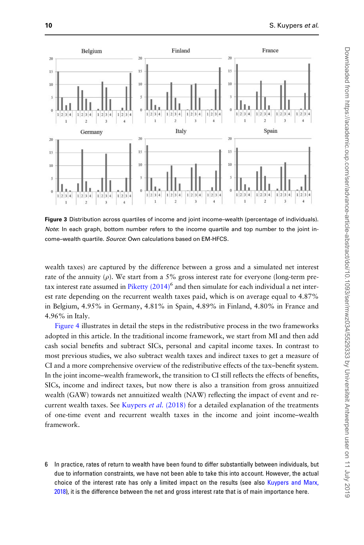<span id="page-9-0"></span>

Figure 3 Distribution across quartiles of income and joint income–wealth (percentage of individuals). Note: In each graph, bottom number refers to the income quartile and top number to the joint income-wealth quartile. Source: Own calculations based on EM-HFCS.

wealth taxes) are captured by the difference between a gross and a simulated net interest rate of the annuity  $(\rho)$ . We start from a 5% gross interest rate for everyone (long-term pretax interest rate assumed in Piketty  $(2014)^6$  and then simulate for each individual a net interest rate depending on the recurrent wealth taxes paid, which is on average equal to 4.87% in Belgium, 4.95% in Germany, 4.81% in Spain, 4.89% in Finland, 4.80% in France and 4.96% in Italy.

[Figure 4](#page-10-0) illustrates in detail the steps in the redistributive process in the two frameworks adopted in this article. In the traditional income framework, we start from MI and then add cash social benefits and subtract SICs, personal and capital income taxes. In contrast to most previous studies, we also subtract wealth taxes and indirect taxes to get a measure of CI and a more comprehensive overview of the redistributive effects of the tax–benefit system. In the joint income–wealth framework, the transition to CI still reflects the effects of benefits, SICs, income and indirect taxes, but now there is also a transition from gross annuitized wealth (GAW) towards net annuitized wealth (NAW) reflecting the impact of event and re-current wealth taxes. See [Kuypers](#page-23-0) *et al.*  $(2018)$  for a detailed explanation of the treatments of one-time event and recurrent wealth taxes in the income and joint income–wealth framework.

6 In practice, rates of return to wealth have been found to differ substantially between individuals, but due to information constraints, we have not been able to take this into account. However, the actual choice of the interest rate has only a limited impact on the results (see also [Kuypers and Marx,](#page-22-0) [2018](#page-22-0)), it is the difference between the net and gross interest rate that is of main importance here.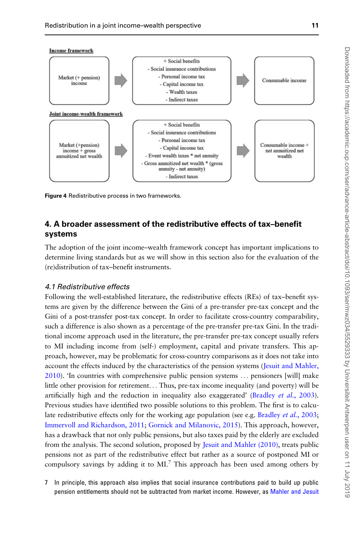<span id="page-10-0"></span>

Figure 4 Redistributive process in two frameworks.

# 4. A broader assessment of the redistributive effects of tax–benefit systems

The adoption of the joint income–wealth framework concept has important implications to determine living standards but as we will show in this section also for the evaluation of the (re)distribution of tax–benefit instruments.

## 4.1 Redistributive effects

Following the well-established literature, the redistributive effects (REs) of tax–benefit systems are given by the difference between the Gini of a pre-transfer pre-tax concept and the Gini of a post-transfer post-tax concept. In order to facilitate cross-country comparability, such a difference is also shown as a percentage of the pre-transfer pre-tax Gini. In the traditional income approach used in the literature, the pre-transfer pre-tax concept usually refers to MI including income from (self-) employment, capital and private transfers. This approach, however, may be problematic for cross-country comparisons as it does not take into account the effects induced by the characteristics of the pension systems [\(Jesuit and Mahler,](#page-22-0) [2010](#page-22-0)). 'In countries with comprehensive public pension systems ... pensioners [will] make little other provision for retirement... Thus, pre-tax income inequality (and poverty) will be artificially high and the reduction in inequality also exaggerated' ([Bradley](#page-22-0) *et al.*, 2003). Previous studies have identified two possible solutions to this problem. The first is to calcu-late redistributive effects only for the working age population (see e.g. [Bradley](#page-22-0) *et al.*, 2003; [Immervoll and Richardson, 2011;](#page-22-0) [Gornick and Milanovic, 2015\)](#page-22-0). This approach, however, has a drawback that not only public pensions, but also taxes paid by the elderly are excluded from the analysis. The second solution, proposed by [Jesuit and Mahler \(2010\)](#page-22-0), treats public pensions not as part of the redistributive effect but rather as a source of postponed MI or compulsory savings by adding it to MI.<sup>7</sup> This approach has been used among others by

7 In principle, this approach also implies that social insurance contributions paid to build up public pension entitlements should not be subtracted from market income. However, as [Mahler and Jesuit](#page-22-0)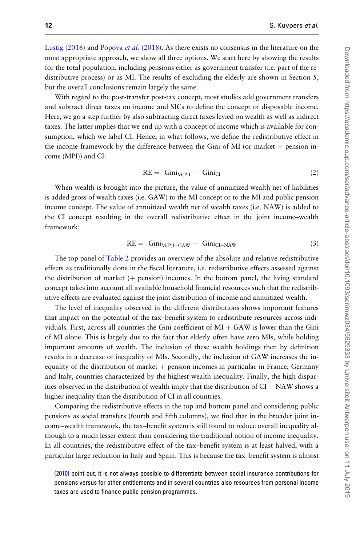<span id="page-11-0"></span>[Lustig \(2016\)](#page-23-0) and [Popova](#page-23-0) et al. (2018). As there exists no consensus in the literature on the most appropriate approach, we show all three options. We start here by showing the results for the total population, including pensions either as government transfer (i.e. part of the redistributive process) or as MI. The results of excluding the elderly are shown in Section 5, but the overall conclusions remain largely the same.

With regard to the post-transfer post-tax concept, most studies add government transfers and subtract direct taxes on income and SICs to define the concept of disposable income. Here, we go a step further by also subtracting direct taxes levied on wealth as well as indirect taxes. The latter implies that we end up with a concept of income which is available for consumption, which we label CI. Hence, in what follows, we define the redistributive effect in the income framework by the difference between the Gini of MI (or market  $+$  pension income (MPI)) and CI:

$$
RE = \text{Gini}_{M(P)I} - \text{Gini}_{CI} \tag{2}
$$

When wealth is brought into the picture, the value of annuitized wealth net of liabilities is added gross of wealth taxes (i.e. GAW) to the MI concept or to the MI and public pension income concept. The value of annuitized wealth net of wealth taxes (i.e. NAW) is added to the CI concept resulting in the overall redistributive effect in the joint income–wealth framework:

$$
RE = Gini_{M(P)I+GAN} - Gini_{CI+NAW}
$$
 (3)

The top panel of [Table 2](#page-12-0) provides an overview of the absolute and relative redistributive effects as traditionally done in the fiscal literature, i.e. redistributive effects assessed against the distribution of market  $(+)$  pension) incomes. In the bottom panel, the living standard concept takes into account all available household financial resources such that the redistributive effects are evaluated against the joint distribution of income and annuitized wealth.

The level of inequality observed in the different distributions shows important features that impact on the potential of the tax–benefit system to redistribute resources across individuals. First, across all countries the Gini coefficient of  $MI + GAW$  is lower than the Gini of MI alone. This is largely due to the fact that elderly often have zero MIs, while holding important amounts of wealth. The inclusion of these wealth holdings then by definition results in a decrease of inequality of MIs. Secondly, the inclusion of GAW increases the inequality of the distribution of market  $+$  pension incomes in particular in France, Germany and Italy, countries characterized by the highest wealth inequality. Finally, the high disparities observed in the distribution of wealth imply that the distribution of  $CI + NAW$  shows a higher inequality than the distribution of CI in all countries.

Comparing the redistributive effects in the top and bottom panel and considering public pensions as social transfers (fourth and fifth columns), we find that in the broader joint income–wealth framework, the tax–benefit system is still found to reduce overall inequality although to a much lesser extent than considering the traditional notion of income inequality. In all countries, the redistributive effect of the tax–benefit system is at least halved, with a particular large reduction in Italy and Spain. This is because the tax–benefit system is almost

[<sup>\(2010\)</sup>](#page-22-0) point out, it is not always possible to differentiate between social insurance contributions for pensions versus for other entitlements and in several countries also resources from personal income taxes are used to finance public pension programmes.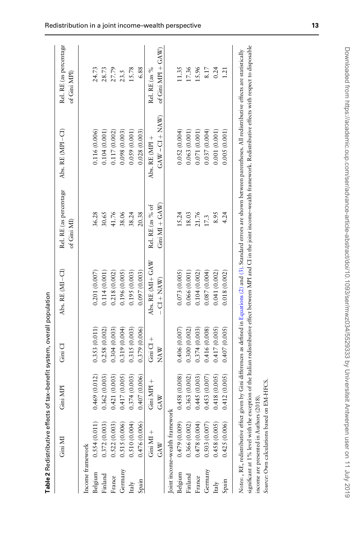<span id="page-12-0"></span>

| 0.469(0.012)<br>0.421(0.003)<br>0.417(0.005)<br>0.374(0.003)<br>0.407(0.006)<br>0.362(0.003)<br>0.522(0.003)<br>$\begin{array}{c} 0.515 \ (0.006) \\ 0.510 \ (0.004) \end{array}$<br>0.372 (0.003)<br>0.476 (0.006)<br>0.554(0.011)<br>Income framework<br>Germany<br>Belgium<br>Finland<br>France<br>Spain<br>Italy | 0.319(0.004)<br>0.315(0.003)<br>0.353(0.011)<br>0.304(0.003)<br>0.379 (0.006)<br>0.258 (0.002) | 0.196(0.005)<br>0.201(0.007)<br>0.218 (0.002)<br>0.114 (0.001) |                   |                  | of Gini MPI           |
|----------------------------------------------------------------------------------------------------------------------------------------------------------------------------------------------------------------------------------------------------------------------------------------------------------------------|------------------------------------------------------------------------------------------------|----------------------------------------------------------------|-------------------|------------------|-----------------------|
|                                                                                                                                                                                                                                                                                                                      |                                                                                                |                                                                |                   |                  |                       |
|                                                                                                                                                                                                                                                                                                                      |                                                                                                |                                                                | 36.28             | 0.116(0.006)     | 24.73                 |
|                                                                                                                                                                                                                                                                                                                      |                                                                                                |                                                                | 30.65             | 0.104 (0.001)    | 28.73                 |
|                                                                                                                                                                                                                                                                                                                      |                                                                                                |                                                                | 41.76             | 0.117(0.002)     | 27.79                 |
|                                                                                                                                                                                                                                                                                                                      |                                                                                                |                                                                | 38.06             | 0.098(0.003)     | 23.5                  |
|                                                                                                                                                                                                                                                                                                                      |                                                                                                | 0.195(0.003)                                                   | 38.24             | 0.059(0.001)     | 15.78                 |
|                                                                                                                                                                                                                                                                                                                      |                                                                                                | 0.097(0.003)                                                   | 20.38             | 0.028(0.003)     | 6.88                  |
| $\frac{1}{10}$ Cini Cl +<br>$Gini$ MPI +<br>Gini $MI +$                                                                                                                                                                                                                                                              |                                                                                                | Abs. RE (MI+ GAW                                               | Rel. RE (as % of  | Abs. RE (MPI +   | Rel. RE (as %         |
| <b>NAW</b><br>GAW<br>GAN                                                                                                                                                                                                                                                                                             |                                                                                                | $CL + NAN$                                                     | $Gini$ MI + $GAW$ | $GAN - CI + NAN$ | of Gini MPI + $GAW$ ) |
| Joint income-wealth frameworl                                                                                                                                                                                                                                                                                        |                                                                                                |                                                                |                   |                  |                       |
| 0.458(0.008)<br>0.479 (0.009)<br>Belgium                                                                                                                                                                                                                                                                             | 0.406(0.007)                                                                                   | 0.073(0.005)                                                   | 15.24             | 0.052(0.004)     | 11.35                 |
| 0.363 (0.002)<br>0.366 (0.002)<br>Finland                                                                                                                                                                                                                                                                            | 0.300 (0.002)                                                                                  | 0.066 (0.001)                                                  | 18.03             | 0.063(0.001)     | 17.36                 |
| 0.445(0.003)<br>0.478 (0.004)<br>France                                                                                                                                                                                                                                                                              | 0.374 (0.003)                                                                                  | 0.104 (0.002)                                                  | 21.76             | 0.071(0.001)     | 15.96                 |
| 0.453(0.007)<br>0.503(0.007)<br>Germany                                                                                                                                                                                                                                                                              | 0.416(0.008)                                                                                   | 0.087(0.004)                                                   | 17.3              | 0.037(0.004)     | 8.17                  |
| 0.418(0.005)<br>0.458(0.005)<br>Italy                                                                                                                                                                                                                                                                                | 0.417(0.005)                                                                                   | 0.041(0.002)                                                   | 8.95              | 0.001(0.001)     | 0.24                  |
| 0.412(0.005)<br>0.425(0.006)<br>Spain                                                                                                                                                                                                                                                                                | 0.407(0.005)                                                                                   | 0.018(0.002)                                                   | 4.24              | 0.005(0.001)     | 1.21                  |

Downloaded from https://academic.oup.com/ser/advance-article-abstract/doi/10.1093/ser/mwz034/5529333 by Universiteit Antwerpen user on 11 July 2019 Downloaded from https://academic.oup.com/ser/advance-article-abstract/doi/10.1093/ser/mwz034/5529333 by Universiteit Antwerpen user on 11 July 2019

Source: Own calculations based on EM-HFCS.

Source: Own calculations based on EM-HFCS.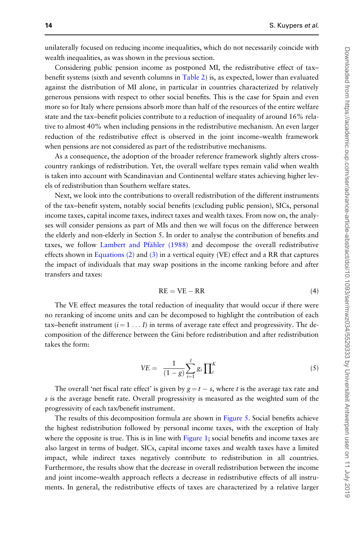<span id="page-13-0"></span>unilaterally focused on reducing income inequalities, which do not necessarily coincide with wealth inequalities, as was shown in the previous section.

Considering public pension income as postponed MI, the redistributive effect of tax– benefit systems (sixth and seventh columns in [Table 2](#page-12-0)) is, as expected, lower than evaluated against the distribution of MI alone, in particular in countries characterized by relatively generous pensions with respect to other social benefits. This is the case for Spain and even more so for Italy where pensions absorb more than half of the resources of the entire welfare state and the tax–benefit policies contribute to a reduction of inequality of around 16% relative to almost 40% when including pensions in the redistributive mechanism. An even larger reduction of the redistributive effect is observed in the joint income–wealth framework when pensions are not considered as part of the redistributive mechanisms.

As a consequence, the adoption of the broader reference framework slightly alters crosscountry rankings of redistribution. Yet, the overall welfare types remain valid when wealth is taken into account with Scandinavian and Continental welfare states achieving higher levels of redistribution than Southern welfare states.

Next, we look into the contributions to overall redistribution of the different instruments of the tax–benefit system, notably social benefits (excluding public pension), SICs, personal income taxes, capital income taxes, indirect taxes and wealth taxes. From now on, the analyses will consider pensions as part of MIs and then we will focus on the difference between the elderly and non-elderly in Section 5. In order to analyse the contribution of benefits and taxes, we follow Lambert and Pfähler (1988) and decompose the overall redistributive effects shown in [Equations \(2\)](#page-11-0) and [\(3\)](#page-11-0) in a vertical equity (VE) effect and a RR that captures the impact of individuals that may swap positions in the income ranking before and after transfers and taxes:

$$
RE = VE - RR \tag{4}
$$

The VE effect measures the total reduction of inequality that would occur if there were no reranking of income units and can be decomposed to highlight the contribution of each tax–benefit instrument  $(i = 1 \dots I)$  in terms of average rate effect and progressivity. The decomposition of the difference between the Gini before redistribution and after redistribution takes the form:

$$
VE = \frac{1}{(1-g)} \sum_{i=1}^{I} g_i \prod_{i}^{K} \tag{5}
$$

The overall 'net fiscal rate effect' is given by  $g = t - s$ , where t is the average tax rate and s is the average benefit rate. Overall progressivity is measured as the weighted sum of the progressivity of each tax/benefit instrument.

The results of this decomposition formula are shown in [Figure 5.](#page-14-0) Social benefits achieve the highest redistribution followed by personal income taxes, with the exception of Italy where the opposite is true. This is in line with [Figure 1;](#page-4-0) social benefits and income taxes are also largest in terms of budget. SICs, capital income taxes and wealth taxes have a limited impact, while indirect taxes negatively contribute to redistribution in all countries. Furthermore, the results show that the decrease in overall redistribution between the income and joint income–wealth approach reflects a decrease in redistributive effects of all instruments. In general, the redistributive effects of taxes are characterized by a relative larger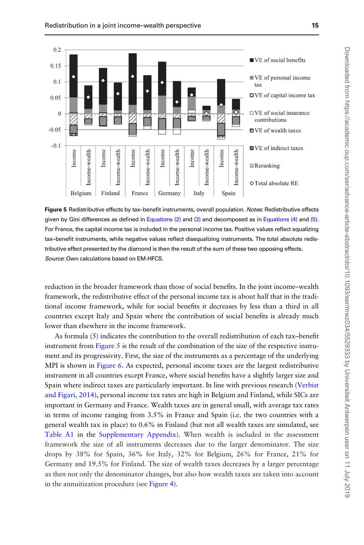<span id="page-14-0"></span>

Figure 5 Redistributive effects by tax-benefit instruments, overall population. Notes: Redistributive effects given by Gini differences as defined in Equations  $(2)$  and  $(3)$  and decomposed as in Equations  $(4)$  and  $(5)$ . For France, the capital income tax is included in the personal income tax. Positive values reflect equalizing tax–benefit instruments, while negative values reflect disequalizing instruments. The total absolute redistributive effect presented by the diamond is then the result of the sum of these two opposing effects. Source: Own calculations based on EM-HFCS.

reduction in the broader framework than those of social benefits. In the joint income–wealth framework, the redistributive effect of the personal income tax is about half that in the traditional income framework, while for social benefits it decreases by less than a third in all countries except Italy and Spain where the contribution of social benefits is already much lower than elsewhere in the income framework.

As formula (5) indicates the contribution to the overall redistribution of each tax–benefit instrument from Figure 5 is the result of the combination of the size of the respective instrument and its progressivity. First, the size of the instruments as a percentage of the underlying MPI is shown in [Figure 6.](#page-15-0) As expected, personal income taxes are the largest redistributive instrument in all countries except France, where social benefits have a slightly larger size and Spain where indirect taxes are particularly important. In line with previous research [\(Verbist](#page-23-0) [and Figari, 2014\)](#page-23-0), personal income tax rates are high in Belgium and Finland, while SICs are important in Germany and France. Wealth taxes are in general small, with average tax rates in terms of income ranging from 3.5% in France and Spain (i.e. the two countries with a general wealth tax in place) to 0.6% in Finland (but not all wealth taxes are simulated, see [Table A1](#page-5-0) in the [Supplementary Appendix](https://academic.oup.com/ser/article-lookup/doi/10.1093/ser/mwz034#supplementary-data)). When wealth is included in the assessment framework the size of all instruments decreases due to the larger denominator. The size drops by 38% for Spain, 36% for Italy, 32% for Belgium, 26% for France, 21% for Germany and 19.5% for Finland. The size of wealth taxes decreases by a larger percentage as then not only the denominator changes, but also how wealth taxes are taken into account in the annuitization procedure (see [Figure 4](#page-10-0)).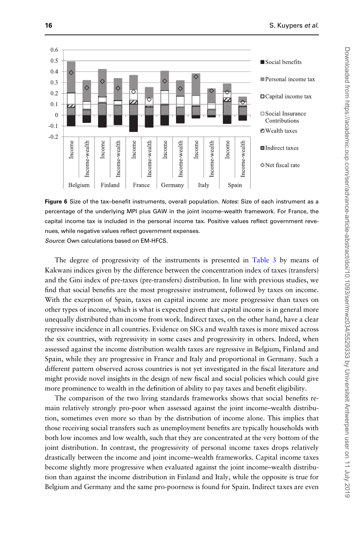<span id="page-15-0"></span>

Figure 6 Size of the tax–benefit instruments, overall population. Notes: Size of each instrument as a percentage of the underlying MPI plus GAW in the joint income–wealth framework. For France, the capital income tax is included in the personal income tax. Positive values reflect government revenues, while negative values reflect government expenses. Source: Own calculations based on EM-HFCS.

The degree of progressivity of the instruments is presented in [Table 3](#page-16-0) by means of Kakwani indices given by the difference between the concentration index of taxes (transfers) and the Gini index of pre-taxes (pre-transfers) distribution. In line with previous studies, we find that social benefits are the most progressive instrument, followed by taxes on income. With the exception of Spain, taxes on capital income are more progressive than taxes on other types of income, which is what is expected given that capital income is in general more unequally distributed than income from work. Indirect taxes, on the other hand, have a clear regressive incidence in all countries. Evidence on SICs and wealth taxes is more mixed across the six countries, with regressivity in some cases and progressivity in others. Indeed, when assessed against the income distribution wealth taxes are regressive in Belgium, Finland and Spain, while they are progressive in France and Italy and proportional in Germany. Such a different pattern observed across countries is not yet investigated in the fiscal literature and might provide novel insights in the design of new fiscal and social policies which could give more prominence to wealth in the definition of ability to pay taxes and benefit eligibility.

The comparison of the two living standards frameworks shows that social benefits remain relatively strongly pro-poor when assessed against the joint income–wealth distribution, sometimes even more so than by the distribution of income alone. This implies that those receiving social transfers such as unemployment benefits are typically households with both low incomes and low wealth, such that they are concentrated at the very bottom of the joint distribution. In contrast, the progressivity of personal income taxes drops relatively drastically between the income and joint income–wealth frameworks. Capital income taxes become slightly more progressive when evaluated against the joint income–wealth distribution than against the income distribution in Finland and Italy, while the opposite is true for Belgium and Germany and the same pro-poorness is found for Spain. Indirect taxes are even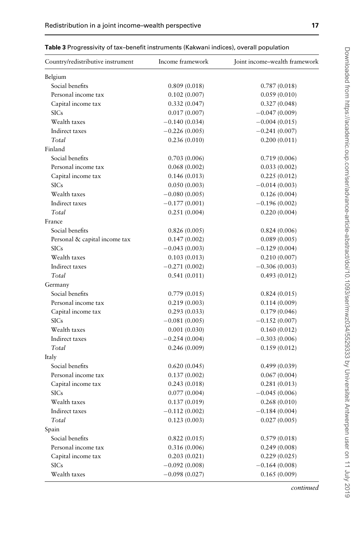| Country/redistributive instrument | Income framework | Joint income-wealth framework |
|-----------------------------------|------------------|-------------------------------|
| Belgium                           |                  |                               |
| Social benefits                   | 0.809(0.018)     | 0.787(0.018)                  |
| Personal income tax               | 0.102(0.007)     | 0.059(0.010)                  |
| Capital income tax                | 0.332(0.047)     | 0.327(0.048)                  |
| <b>SICs</b>                       | 0.017(0.007)     | $-0.047(0.009)$               |
| Wealth taxes                      | $-0.140(0.034)$  | $-0.004(0.015)$               |
| Indirect taxes                    | $-0.226(0.005)$  | $-0.241(0.007)$               |
| Total                             | 0.236(0.010)     | 0.200(0.011)                  |
| Finland                           |                  |                               |
| Social benefits                   | 0.703(0.006)     | 0.719(0.006)                  |
| Personal income tax               | 0.068(0.002)     | 0.033(0.002)                  |
| Capital income tax                | 0.146(0.013)     | 0.225(0.012)                  |
| <b>SICs</b>                       | 0.050(0.003)     | $-0.014(0.003)$               |
| Wealth taxes                      | $-0.080(0.005)$  | 0.126(0.004)                  |
| Indirect taxes                    | $-0.177(0.001)$  | $-0.196(0.002)$               |
| Total                             | 0.251(0.004)     | 0.220(0.004)                  |
| France                            |                  |                               |
| Social benefits                   | 0.826(0.005)     | 0.824(0.006)                  |
| Personal & capital income tax     | 0.147(0.002)     | 0.089(0.005)                  |
| <b>SICs</b>                       | $-0.043(0.003)$  | $-0.129(0.004)$               |
| Wealth taxes                      | 0.103(0.013)     | 0.210(0.007)                  |
| Indirect taxes                    | $-0.271(0.002)$  | $-0.306(0.003)$               |
| Total                             | 0.541(0.011)     | 0.493(0.012)                  |
| Germany                           |                  |                               |
| Social benefits                   | 0.779(0.015)     | 0.824(0.015)                  |
| Personal income tax               | 0.219(0.003)     | 0.114(0.009)                  |
| Capital income tax                | 0.293(0.033)     | 0.179(0.046)                  |
| <b>SICs</b>                       | $-0.081(0.005)$  | $-0.152(0.007)$               |
| Wealth taxes                      | 0.001(0.030)     | 0.160(0.012)                  |
| Indirect taxes                    | $-0.254(0.004)$  | $-0.303(0.006)$               |
| Total                             | 0.246(0.009)     | 0.159(0.012)                  |
| Italy                             |                  |                               |
| Social benefits                   | 0.620(0.045)     | 0.499(0.039)                  |
| Personal income tax               | 0.137(0.002)     | 0.067(0.004)                  |
| Capital income tax                | 0.243(0.018)     | 0.281(0.013)                  |
| <b>SICs</b>                       | 0.077(0.004)     | $-0.045(0.006)$               |
| Wealth taxes                      | 0.137(0.019)     | 0.268(0.010)                  |
| Indirect taxes                    | $-0.112(0.002)$  | $-0.184(0.004)$               |
| Total                             | 0.123(0.003)     | 0.027(0.005)                  |
| Spain                             |                  |                               |
| Social benefits                   | 0.822(0.015)     | 0.579(0.018)                  |
| Personal income tax               | 0.316(0.006)     | 0.249(0.008)                  |
| Capital income tax                | 0.203(0.021)     | 0.229(0.025)                  |
| <b>SICs</b>                       | $-0.092(0.008)$  | $-0.164(0.008)$               |
| Wealth taxes                      | $-0.098(0.027)$  | 0.165(0.009)                  |

<span id="page-16-0"></span>

| Table 3 Progressivity of tax-benefit instruments (Kakwani indices), overall population |  |  |  |
|----------------------------------------------------------------------------------------|--|--|--|
|----------------------------------------------------------------------------------------|--|--|--|

continued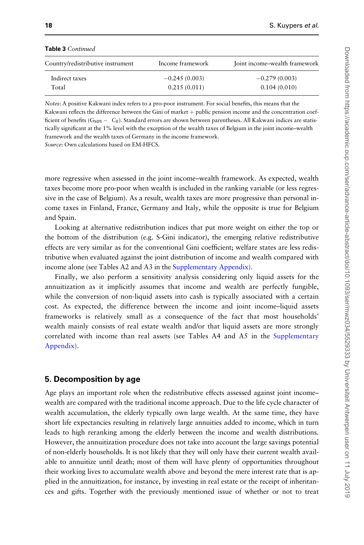| <b>TODIC J</b> COMMANDA           |                  |                               |
|-----------------------------------|------------------|-------------------------------|
| Country/redistributive instrument | Income framework | Joint income–wealth framework |
| Indirect taxes                    | $-0.245(0.003)$  | $-0.279(0.003)$               |
| Total                             | 0.215(0.011)     | 0.104(0.010)                  |
|                                   |                  |                               |

#### Table 3 Continued

Notes: A positive Kakwani index refers to a pro-poor instrument. For social benefits, this means that the Kakwani reflects the difference between the Gini of market + public pension income and the concentration coefficient of benefits ( $G_{\text{MPI}} - C_B$ ). Standard errors are shown between parentheses. All Kakwani indices are statistically significant at the 1% level with the exception of the wealth taxes of Belgium in the joint income–wealth framework and the wealth taxes of Germany in the income framework.

Source: Own calculations based on EM-HFCS.

more regressive when assessed in the joint income–wealth framework. As expected, wealth taxes become more pro-poor when wealth is included in the ranking variable (or less regressive in the case of Belgium). As a result, wealth taxes are more progressive than personal income taxes in Finland, France, Germany and Italy, while the opposite is true for Belgium and Spain.

Looking at alternative redistribution indices that put more weight on either the top or the bottom of the distribution (e.g. S-Gini indicator), the emerging relative redistributive effects are very similar as for the conventional Gini coefficient; welfare states are less redistributive when evaluated against the joint distribution of income and wealth compared with income alone (see Tables A2 and A3 in the [Supplementary Appendix](https://academic.oup.com/ser/article-lookup/doi/10.1093/ser/mwz034#supplementary-data)).

Finally, we also perform a sensitivity analysis considering only liquid assets for the annuitization as it implicitly assumes that income and wealth are perfectly fungible, while the conversion of non-liquid assets into cash is typically associated with a certain cost. As expected, the difference between the income and joint income–liquid assets frameworks is relatively small as a consequence of the fact that most households' wealth mainly consists of real estate wealth and/or that liquid assets are more strongly correlated with income than real assets (see Tables A4 and A5 in the [Supplementary](https://academic.oup.com/ser/article-lookup/doi/10.1093/ser/mwz034#supplementary-data) [Appendix\)](https://academic.oup.com/ser/article-lookup/doi/10.1093/ser/mwz034#supplementary-data).

#### 5. Decomposition by age

Age plays an important role when the redistributive effects assessed against joint income– wealth are compared with the traditional income approach. Due to the life cycle character of wealth accumulation, the elderly typically own large wealth. At the same time, they have short life expectancies resulting in relatively large annuities added to income, which in turn leads to high reranking among the elderly between the income and wealth distributions. However, the annuitization procedure does not take into account the large savings potential of non-elderly households. It is not likely that they will only have their current wealth available to annuitize until death; most of them will have plenty of opportunities throughout their working lives to accumulate wealth above and beyond the mere interest rate that is applied in the annuitization, for instance, by investing in real estate or the receipt of inheritances and gifts. Together with the previously mentioned issue of whether or not to treat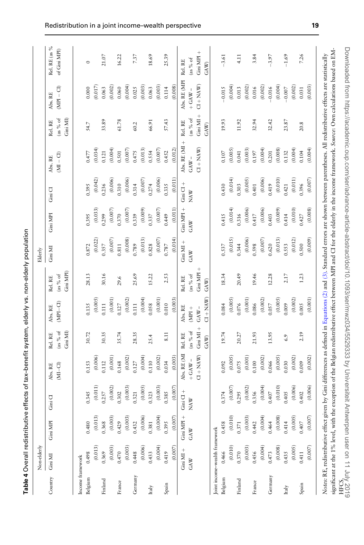| ī<br>$\frac{1}{2}$<br>ĺ                   |
|-------------------------------------------|
| conditions of<br>֦֖֖֖֖֪ׅ֚֚֚֚֚֘֝֬ <u>֓</u> |
|                                           |
| :<br>:<br>:                               |
| )<br>)<br>)<br>)                          |
|                                           |
| I                                         |
| .<br>ו<br>$\overline{a}$                  |

 $\overline{5}$ 

<span id="page-18-0"></span>

|                  | Non-elderly                   |            |                       |                     |                     |                     |                     | Elderly     |            |               |                                                                                                                                                                                             |                     |                       |                               |
|------------------|-------------------------------|------------|-----------------------|---------------------|---------------------|---------------------|---------------------|-------------|------------|---------------|---------------------------------------------------------------------------------------------------------------------------------------------------------------------------------------------|---------------------|-----------------------|-------------------------------|
| Country          | Gini MI                       | Gini MPI   | $Gini$ $C1$           | $M - C1$<br>Abs. RE | (as % of<br>Rel. RE | $MPL-CI$<br>Abs. RE | (as % of<br>Rel. RE | Gini MI     | Gini MPI   | Gini CI       | $(M - CI)$<br>Abs. RE                                                                                                                                                                       | (as % of<br>Rel. RE | $MPI - Cl$<br>Abs. RE | Rel. RE (as %<br>of Gini MPI) |
|                  |                               |            |                       |                     | Gini MI)            |                     | Gini MPI)           |             |            |               |                                                                                                                                                                                             | Gini MI)            |                       |                               |
| Income framework |                               |            |                       |                     |                     |                     |                     |             |            |               |                                                                                                                                                                                             |                     |                       |                               |
| Belgium          | 0.498                         | 0.480      | 0.345                 | 0.153               | 30.72               | 0.135               | 28.13               | 0.872       | 0.395      | 0.395         | 1477                                                                                                                                                                                        | 54.7                | 0.000                 | $\circ$                       |
|                  | (0.013)                       | (0.013)    | $\left( 0.011\right)$ | (0.006)             |                     | (0.005)             |                     | (0.022)     | (0.033)    | (0.042)       | (0.034)                                                                                                                                                                                     |                     | (0.017)               |                               |
| Finland          | 0.369                         | 0.368      | 0.257                 | 0.112               | 30.35               | 0.111               | 30.16               | 0.357       | 1.299      | 0.236         | 0.121                                                                                                                                                                                       | 33.89               | 0.63                  | 21.07                         |
|                  | (0.003)                       | (0.003)    | (0.002)               | (0.001)             |                     | (0.001)             |                     | (0.007)     | (0.007)    | (0.006)       | (0.004)                                                                                                                                                                                     |                     | (0.002)               |                               |
| France           | 0.470                         | 0.429      | 0.302                 | 0.168               | 35.74               | 0.127               | 29.6                | 0.811       | 0.370      | 0.310         | 0.501                                                                                                                                                                                       | 61.78               | 0.060                 | 16.22                         |
|                  | (0.003)                       | (0.003)    | (0.003)               | (0.002)             |                     | (0.002)             |                     | (0.008)     | (0.007)    | (0.006)       | $(0.007)$                                                                                                                                                                                   |                     | (0.004)               |                               |
| Germany          | 0.448                         | 0.432      | 0.321                 | 0.127               | 28.35               | 0.111               | 25.69               | 0.789       | 0.339      | 0.314         | 0.475                                                                                                                                                                                       | 60.2                | 0.025                 | 7.37                          |
|                  | (0.006)                       | (0.006)    | (0.005)               | (0.004)             |                     | (0.004)             |                     | (0.013)     | (0.009)    | (0.007)       | (0.013)                                                                                                                                                                                     |                     | (0.003)               |                               |
| Italy            | 0.433                         | 0.381      | 0.323                 | 0.110               | 25.4                | 0.58                | 15.22               | 0.828       | 0.337      | 0.274         | 0.554                                                                                                                                                                                       | 66.91               | 0.063                 | 18.69                         |
|                  | (0.004)                       | (0.004)    | (0.003)               | (0.002)             |                     | (0.001)             |                     | (0.007)     | (0.007)    | (0.006)       | (0.007)                                                                                                                                                                                     |                     | (0.003)               |                               |
| Spain            | 0.419                         | 0.395      | 0.385                 | 0.034               | 8.11                | 0.010               | 2.53                | 0.787       | 0.449      | 0.335         | 0.452                                                                                                                                                                                       | 57.43               | 0.114                 | 25.39                         |
|                  | (0.007)                       | (0.007)    | (0.007)               | (0.003)             |                     | (0.003)             |                     | (0.014)     | (0.011)    | (0.011)       | (0.012)                                                                                                                                                                                     |                     | (0.008)               |                               |
|                  | $Gini$ MI +                   | Gini MPI + | $\frac{+}{10}$        | Abs. RE(MI          | Rel. RE             | Abs. RE             | Rel. RE             | $Gini$ MI + | Gini MPI + | $Gini$ $C1 +$ | Abs. RE (MI+                                                                                                                                                                                | Rel. RE             | Abs. RE (MPI          | Rel.RE                        |
|                  | GAW                           | GAW        | NAW                   | $+$ GAW $-$         | as % of             | $\overline{MP1}$ +  | (as % of            | GAW         | GAW        | NAW           | $GAW -$                                                                                                                                                                                     | as % of             | $+$ GAW $-$           | (as % of                      |
|                  |                               |            |                       | $CI + NAW$          | Gini $MI +$         | $GAW -$             | $\sin MPI +$        |             |            |               | $CL + NAW)$                                                                                                                                                                                 | Gini $MI +$         | $C1 + NAN$            | $^{+}$<br>Gini MPI            |
|                  |                               |            |                       |                     | GAW)                | $U + NAV$           | GAW)                |             |            |               |                                                                                                                                                                                             | GAW)                |                       | GAW)                          |
|                  | Joint income-wealth framework |            |                       |                     |                     |                     |                     |             |            |               |                                                                                                                                                                                             |                     |                       |                               |
| Belgium          | 0.466                         | 0.458      | 0.374                 | 0.92                | 19.74               | 0.084               | 18.34               | 0.537       | 0.415      | 0.430         | 0.107                                                                                                                                                                                       | 19.93               | $-0.015$              | $-3.61$                       |
|                  | (0.010)                       | (0.010)    | (0.007)               | (0.005)             |                     | (0.005)             |                     | (0.015)     | (0.014)    | (0.014)       | (0.005)                                                                                                                                                                                     |                     | (0.004)               |                               |
| Finland          | 0.370                         | 0.371      | 0.295                 | 1.075               | 20.27               | 0.076               | 20.49               | 0.344       | 0.316      | 0.303         | 1.041                                                                                                                                                                                       | 11.92               | 0.013                 | 4.11                          |
|                  | (0.003)                       | (0.003)    | (0.002)               | (0.001)             |                     | (0.001)             |                     | (0.006)     | (0.006)    | (0.005)       | (0.003)                                                                                                                                                                                     |                     | (0.002)               |                               |
| France           | 0.456                         | 0.442      | 0.356                 | 0.100               | 21.93               | 0.086               | 19.46               | 0.598       | 1417       | 0.401         | 0.197                                                                                                                                                                                       | 32.94               | 0.016                 | 3.84                          |
|                  | (0.004)                       | (0.004)    | (0.004)               | (0.002)             |                     | (0.002)             |                     | (0.007)     | (0.006)    | (0.006)       | (0.004)                                                                                                                                                                                     |                     | (0.002)               |                               |
| Germany          | 0.473                         | 0.464      | 0.407                 | 0.066               | 13.95               | 0.057               | 12.28               | 0.620       | 0.403      | 0.419         | 0.201                                                                                                                                                                                       | 32.42               | $-0.016$              | $-3.97$                       |
|                  | (0.008)                       | (0.008)    | (0.010)               | (0.005)             |                     | (0.005)             |                     | (0.013)     | (0.009)    | (0.010)       | (0.008)                                                                                                                                                                                     |                     | (0.004)               |                               |
| Italy            | 0.435                         | 0.414      | 1.405                 | 0.030               | 6.9                 | 0.009               | 2.17                | 1.553       | ).414      | 1.421         | 0.132                                                                                                                                                                                       | 23.87               | $-0.007$              | $-1.69$                       |
|                  | (0.005)                       | (0.005)    | (0.006)               | (0.002)             |                     | (0.002)             |                     | (0.012)     | (0.010)    | $(0.011)$     | (0.004)                                                                                                                                                                                     |                     | (0.002)               |                               |
| Spain            | 0.411                         | 0.407      | 0.402                 | 0.009               | 2.19                | 0.005               | 1.23                | 0.500       | 0.427      | 0.396         | 0.104                                                                                                                                                                                       | 20.8                | 0.031                 | 7.26                          |
|                  | (0.007)                       | (0.007)    | (0.006)               | (0.002)             |                     | (0.001)             |                     | (0.009)     | (0.008)    | (0.007)       | (0.004)                                                                                                                                                                                     |                     | (0.003)               |                               |
|                  |                               |            |                       |                     |                     |                     |                     |             |            |               | Notes: RE, redistributive effect given by Gini differences as defined in Equations (2) and (3). Standard errors are shown between parentheses. All redistributive effects are statistically |                     |                       |                               |
|                  |                               |            |                       |                     |                     |                     |                     |             |            |               | significant at the 1% level, with the exception of the Belgian redistributive effect between MPI and CI for the elderly in the income framework. Source: Own calculations based on EM-      |                     |                       |                               |
|                  |                               |            |                       |                     |                     |                     |                     |             |            |               | Downloaded from https://academic.oup.com/ser/advance-article-abstract/doi/10.1093/ser/mwz034/5529333 by Universiteit Antwerpen user on 11 July 2019<br>HEC2                                 |                     |                       |                               |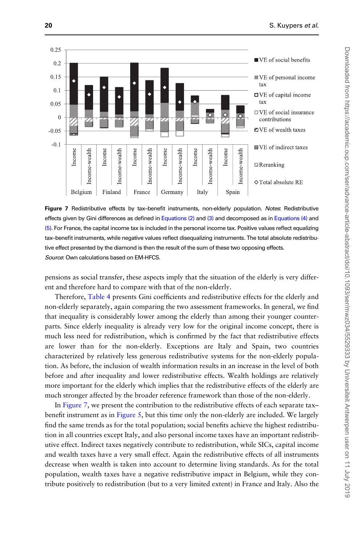

Figure 7 Redistributive effects by tax-benefit instruments, non-elderly population. Notes: Redistributive effects given by Gini differences as defined in [Equations \(2\)](#page-11-0) and [\(3\)](#page-11-0) and decomposed as in [Equations \(4\)](#page-13-0) and [\(5\)](#page-13-0). For France, the capital income tax is included in the personal income tax. Positive values reflect equalizing tax–benefit instruments, while negative values reflect disequalizing instruments. The total absolute redistributive effect presented by the diamond is then the result of the sum of these two opposing effects. Source: Own calculations based on EM-HFCS.

pensions as social transfer, these aspects imply that the situation of the elderly is very different and therefore hard to compare with that of the non-elderly.

Therefore, [Table 4](#page-18-0) presents Gini coefficients and redistributive effects for the elderly and non-elderly separately, again comparing the two assessment frameworks. In general, we find that inequality is considerably lower among the elderly than among their younger counterparts. Since elderly inequality is already very low for the original income concept, there is much less need for redistribution, which is confirmed by the fact that redistributive effects are lower than for the non-elderly. Exceptions are Italy and Spain, two countries characterized by relatively less generous redistributive systems for the non-elderly population. As before, the inclusion of wealth information results in an increase in the level of both before and after inequality and lower redistributive effects. Wealth holdings are relatively more important for the elderly which implies that the redistributive effects of the elderly are much stronger affected by the broader reference framework than those of the non-elderly.

In Figure 7, we present the contribution to the redistributive effects of each separate tax– benefit instrument as in [Figure 5,](#page-14-0) but this time only the non-elderly are included. We largely find the same trends as for the total population; social benefits achieve the highest redistribution in all countries except Italy, and also personal income taxes have an important redistributive effect. Indirect taxes negatively contribute to redistribution, while SICs, capital income and wealth taxes have a very small effect. Again the redistributive effects of all instruments decrease when wealth is taken into account to determine living standards. As for the total population, wealth taxes have a negative redistributive impact in Belgium, while they contribute positively to redistribution (but to a very limited extent) in France and Italy. Also the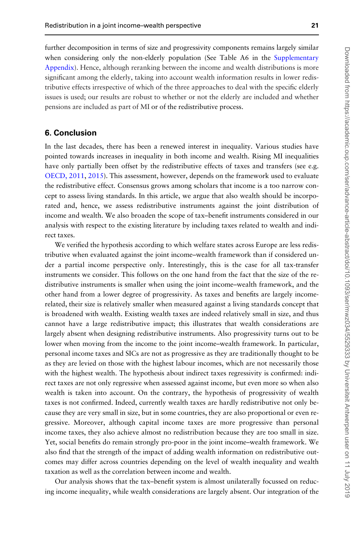further decomposition in terms of size and progressivity components remains largely similar when considering only the non-elderly population (See Table A6 in the [Supplementary](https://academic.oup.com/ser/article-lookup/doi/10.1093/ser/mwz034#supplementary-data) [Appendix](https://academic.oup.com/ser/article-lookup/doi/10.1093/ser/mwz034#supplementary-data)). Hence, although reranking between the income and wealth distributions is more significant among the elderly, taking into account wealth information results in lower redistributive effects irrespective of which of the three approaches to deal with the specific elderly issues is used; our results are robust to whether or not the elderly are included and whether pensions are included as part of MI or of the redistributive process.

## 6. Conclusion

In the last decades, there has been a renewed interest in inequality. Various studies have pointed towards increases in inequality in both income and wealth. Rising MI inequalities have only partially been offset by the redistributive effects of taxes and transfers (see e.g. [OECD, 2011,](#page-23-0) [2015\)](#page-23-0). This assessment, however, depends on the framework used to evaluate the redistributive effect. Consensus grows among scholars that income is a too narrow concept to assess living standards. In this article, we argue that also wealth should be incorporated and, hence, we assess redistributive instruments against the joint distribution of income and wealth. We also broaden the scope of tax–benefit instruments considered in our analysis with respect to the existing literature by including taxes related to wealth and indirect taxes.

We verified the hypothesis according to which welfare states across Europe are less redistributive when evaluated against the joint income–wealth framework than if considered under a partial income perspective only. Interestingly, this is the case for all tax-transfer instruments we consider. This follows on the one hand from the fact that the size of the redistributive instruments is smaller when using the joint income–wealth framework, and the other hand from a lower degree of progressivity. As taxes and benefits are largely incomerelated, their size is relatively smaller when measured against a living standards concept that is broadened with wealth. Existing wealth taxes are indeed relatively small in size, and thus cannot have a large redistributive impact; this illustrates that wealth considerations are largely absent when designing redistributive instruments. Also progressivity turns out to be lower when moving from the income to the joint income–wealth framework. In particular, personal income taxes and SICs are not as progressive as they are traditionally thought to be as they are levied on those with the highest labour incomes, which are not necessarily those with the highest wealth. The hypothesis about indirect taxes regressivity is confirmed: indirect taxes are not only regressive when assessed against income, but even more so when also wealth is taken into account. On the contrary, the hypothesis of progressivity of wealth taxes is not confirmed. Indeed, currently wealth taxes are hardly redistributive not only because they are very small in size, but in some countries, they are also proportional or even regressive. Moreover, although capital income taxes are more progressive than personal income taxes, they also achieve almost no redistribution because they are too small in size. Yet, social benefits do remain strongly pro-poor in the joint income–wealth framework. We also find that the strength of the impact of adding wealth information on redistributive outcomes may differ across countries depending on the level of wealth inequality and wealth taxation as well as the correlation between income and wealth.

Our analysis shows that the tax–benefit system is almost unilaterally focussed on reducing income inequality, while wealth considerations are largely absent. Our integration of the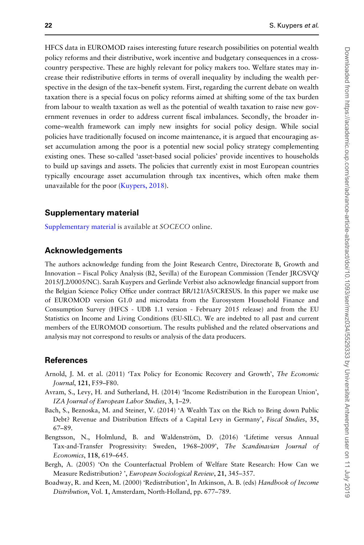<span id="page-21-0"></span>HFCS data in EUROMOD raises interesting future research possibilities on potential wealth policy reforms and their distributive, work incentive and budgetary consequences in a crosscountry perspective. These are highly relevant for policy makers too. Welfare states may increase their redistributive efforts in terms of overall inequality by including the wealth perspective in the design of the tax–benefit system. First, regarding the current debate on wealth taxation there is a special focus on policy reforms aimed at shifting some of the tax burden from labour to wealth taxation as well as the potential of wealth taxation to raise new government revenues in order to address current fiscal imbalances. Secondly, the broader income–wealth framework can imply new insights for social policy design. While social policies have traditionally focused on income maintenance, it is argued that encouraging asset accumulation among the poor is a potential new social policy strategy complementing existing ones. These so-called 'asset-based social policies' provide incentives to households to build up savings and assets. The policies that currently exist in most European countries typically encourage asset accumulation through tax incentives, which often make them unavailable for the poor ([Kuypers, 2018\)](#page-22-0).

#### Supplementary material

[Supplementary material](https://academic.oup.com/ser/article-lookup/doi/10.1093/ser/mwz034#supplementary-data) is available at SOCECO online.

## Acknowledgements

The authors acknowledge funding from the Joint Research Centre, Directorate B, Growth and Innovation – Fiscal Policy Analysis (B2, Sevilla) of the European Commission (Tender JRC/SVQ/ 2015/J.2/0005/NC). Sarah Kuypers and Gerlinde Verbist also acknowledge financial support from the Belgian Science Policy Office under contract BR/121/A5/CRESUS. In this paper we make use of EUROMOD version G1.0 and microdata from the Eurosystem Household Finance and Consumption Survey (HFCS - UDB 1.1 version - February 2015 release) and from the EU Statistics on Income and Living Conditions (EU-SILC). We are indebted to all past and current members of the EUROMOD consortium. The results published and the related observations and analysis may not correspond to results or analysis of the data producers.

#### References

- Arnold, J. M. et al. (2011) 'Tax Policy for Economic Recovery and Growth', The Economic Journal, 121, F59–F80.
- Avram, S., Levy, H. and Sutherland, H. (2014) 'Income Redistribution in the European Union', IZA Journal of European Labor Studies, 3, 1–29.
- Bach, S., Beznoska, M. and Steiner, V. (2014) 'A Wealth Tax on the Rich to Bring down Public Debt? Revenue and Distribution Effects of a Capital Levy in Germany', *Fiscal Studies*, 35, 67–89.
- Bengtsson, N., Holmlund, B. and Waldenström, D. (2016) 'Lifetime versus Annual Tax-and-Transfer Progressivity: Sweden, 1968–2009', The Scandinavian Journal of Economics, 118, 619–645.
- Bergh, A. (2005) 'On the Counterfactual Problem of Welfare State Research: How Can we Measure Redistribution? ', European Sociological Review, 21, 345–357.
- Boadway, R. and Keen, M. (2000) 'Redistribution', In Atkinson, A. B. (eds) Handbook of Income Distribution, Vol. 1, Amsterdam, North-Holland, pp. 677–789.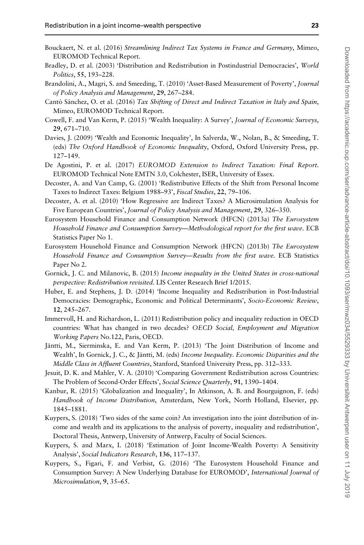- <span id="page-22-0"></span>Bouckaert, N. et al. (2016) Streamlining Indirect Tax Systems in France and Germany, Mimeo, EUROMOD Technical Report.
- Bradley, D. et al. (2003) 'Distribution and Redistribution in Postindustrial Democracies', World Politics, 55, 193–228.
- Brandolini, A., Magri, S. and Smeeding, T. (2010) 'Asset-Based Measurement of Poverty', Journal of Policy Analysis and Management, 29, 267–284.
- Cantó Sánchez, O. et al. (2016) Tax Shifting of Direct and Indirect Taxation in Italy and Spain, Mimeo, EUROMOD Technical Report.
- Cowell, F. and Van Kerm, P. (2015) 'Wealth Inequality: A Survey', Journal of Economic Surveys, 29, 671–710.
- Davies, J. (2009) 'Wealth and Economic Inequality', In Salverda, W., Nolan, B., & Smeeding, T. (eds) The Oxford Handbook of Economic Inequality, Oxford, Oxford University Press, pp. 127–149.
- De Agostini, P. et al. (2017) EUROMOD Extension to Indirect Taxation: Final Report. EUROMOD Technical Note EMTN 3.0, Colchester, ISER, University of Essex.
- Decoster, A. and Van Camp, G. (2001) 'Redistributive Effects of the Shift from Personal Income Taxes to Indirect Taxes: Belgium 1988-93', Fiscal Studies, 22, 79-106.
- Decoster, A. et al. (2010) 'How Regressive are Indirect Taxes? A Microsimulation Analysis for Five European Countries', Journal of Policy Analysis and Management, 29, 326–350.
- Eurosystem Household Finance and Consumption Network (HFCN) (2013a) The Eurosystem Household Finance and Consumption Survey—Methodological report for the first wave. ECB Statistics Paper No 1.
- Eurosystem Household Finance and Consumption Network (HFCN) (2013b) The Eurosystem Household Finance and Consumption Survey—Results from the first wave. ECB Statistics Paper No 2.
- Gornick, J. C. and Milanovic, B. (2015) Income inequality in the United States in cross-national perspective: Redistribution revisited. LIS Center Research Brief 1/2015.
- Huber, E. and Stephens, J. D. (2014) 'Income Inequality and Redistribution in Post-Industrial Democracies: Demographic, Economic and Political Determinants', Socio-Economic Review, 12, 245–267.
- Immervoll, H. and Richardson, L. (2011) Redistribution policy and inequality reduction in OECD countries: What has changed in two decades? OECD Social, Employment and Migration Working Papers No.122, Paris, OECD.
- Jäntti, M., Sierminska, E. and Van Kerm, P. (2013) 'The Joint Distribution of Income and Wealth', In Gornick, J. C., & Jäntti, M. (eds) Income Inequality. Economic Disparities and the Middle Class in Affluent Countries, Stanford, Stanford University Press, pp. 312–333.
- Jesuit, D. K. and Mahler, V. A. (2010) 'Comparing Government Redistribution across Countries: The Problem of Second-Order Effects', Social Science Quarterly, 91, 1390-1404.
- Kanbur, R. (2015) 'Globalization and Inequality', In Atkinson, A. B. and Bourguignon, F. (eds) Handbook of Income Distribution, Amsterdam, New York, North Holland, Elsevier, pp. 1845–1881.
- Kuypers, S. (2018) 'Two sides of the same coin? An investigation into the joint distribution of income and wealth and its applications to the analysis of poverty, inequality and redistribution', Doctoral Thesis, Antwerp, University of Antwerp, Faculty of Social Sciences.
- Kuypers, S. and Marx, I. (2018) 'Estimation of Joint Income-Wealth Poverty: A Sensitivity Analysis', Social Indicators Research, 136, 117–137.
- Kuypers, S., Figari, F. and Verbist, G. (2016) 'The Eurosystem Household Finance and Consumption Survey: A New Underlying Database for EUROMOD', International Journal of Microsimulation, 9, 35–65.